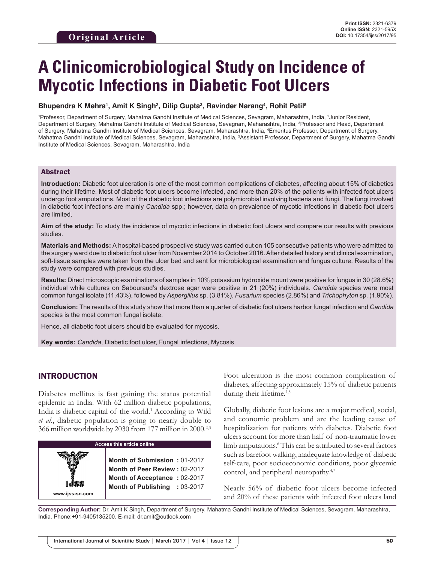# **A Clinicomicrobiological Study on Incidence of Mycotic Infections in Diabetic Foot Ulcers**

#### **Bhupendra K Mehra1 , Amit K Singh2 , Dilip Gupta3 , Ravinder Narang4 , Rohit Patil5**

1 Professor, Department of Surgery, Mahatma Gandhi Institute of Medical Sciences, Sevagram, Maharashtra, India, 2 Junior Resident, Department of Surgery, Mahatma Gandhi Institute of Medical Sciences, Sevagram, Maharashtra, India, <sup>3</sup>Professor and Head, Department of Surgery, Mahatma Gandhi Institute of Medical Sciences, Sevagram, Maharashtra, India, 4 Emeritus Professor, Department of Surgery, Mahatma Gandhi Institute of Medical Sciences, Sevagram, Maharashtra, India, 5 Assistant Professor, Department of Surgery, Mahatma Gandhi Institute of Medical Sciences, Sevagram, Maharashtra, India

#### Abstract

**Introduction:** Diabetic foot ulceration is one of the most common complications of diabetes, affecting about 15% of diabetics during their lifetime. Most of diabetic foot ulcers become infected, and more than 20% of the patients with infected foot ulcers undergo foot amputations. Most of the diabetic foot infections are polymicrobial involving bacteria and fungi. The fungi involved in diabetic foot infections are mainly *Candida* spp.; however, data on prevalence of mycotic infections in diabetic foot ulcers are limited.

**Aim of the study:** To study the incidence of mycotic infections in diabetic foot ulcers and compare our results with previous studies.

**Materials and Methods:** A hospital-based prospective study was carried out on 105 consecutive patients who were admitted to the surgery ward due to diabetic foot ulcer from November 2014 to October 2016. After detailed history and clinical examination, soft-tissue samples were taken from the ulcer bed and sent for microbiological examination and fungus culture. Results of the study were compared with previous studies.

**Results:** Direct microscopic examinations of samples in 10% potassium hydroxide mount were positive for fungus in 30 (28.6%) individual while cultures on Sabouraud's dextrose agar were positive in 21 (20%) individuals. *Candida* species were most common fungal isolate (11.43%), followed by *Aspergillus* sp. (3.81%), *Fusarium* species (2.86%) and *Trichophyton* sp. (1.90%).

**Conclusion:** The results of this study show that more than a quarter of diabetic foot ulcers harbor fungal infection and *Candida* species is the most common fungal isolate.

Hence, all diabetic foot ulcers should be evaluated for mycosis.

**Key words:** *Candida*, Diabetic foot ulcer, Fungal infections, Mycosis

## INTRODUCTION

Diabetes mellitus is fast gaining the status potential epidemic in India. With 62 million diabetic populations, India is diabetic capital of the world.<sup>1</sup> According to Wild *et al*., diabetic population is going to nearly double to 366 million worldwide by 2030 from 177 million in 2000.2,3

| <b>Access this article online</b> |                                                                                                                                |  |  |
|-----------------------------------|--------------------------------------------------------------------------------------------------------------------------------|--|--|
| www.ijss-sn.com                   | Month of Submission: 01-2017<br>Month of Peer Review: 02-2017<br>Month of Acceptance: 02-2017<br>Month of Publishing : 03-2017 |  |  |

Foot ulceration is the most common complication of diabetes, affecting approximately 15% of diabetic patients during their lifetime.<sup>4,5</sup>

Globally, diabetic foot lesions are a major medical, social, and economic problem and are the leading cause of hospitalization for patients with diabetes. Diabetic foot ulcers account for more than half of non-traumatic lower limb amputations.<sup>6</sup> This can be attributed to several factors such as barefoot walking, inadequate knowledge of diabetic self-care, poor socioeconomic conditions, poor glycemic control, and peripheral neuropathy.<sup>4,7</sup>

Nearly 56% of diabetic foot ulcers become infected and 20% of these patients with infected foot ulcers land

**Corresponding Author:** Dr. Amit K Singh, Department of Surgery, Mahatma Gandhi Institute of Medical Sciences, Sevagram, Maharashtra, India. Phone:+91-9405135200. E-mail: dr.amit@outlook.com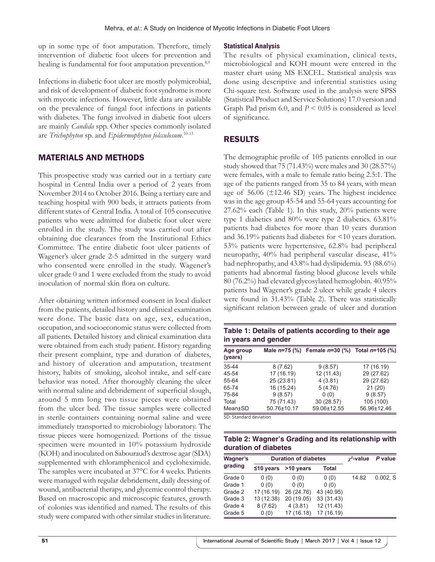up in some type of foot amputation. Therefore, timely intervention of diabetic foot ulcers for prevention and healing is fundamental for foot amputation prevention.<sup>8,9</sup>

Infections in diabetic foot ulcer are mostly polymicrobial, and risk of development of diabetic foot syndrome is more with mycotic infections. However, little data are available on the prevalence of fungal foot infections in patients with diabetes. The fungi involved in diabetic foot ulcers are mainly *Candida* spp. Other species commonly isolated are *Trichophyton* sp. and *Epidermophyton folcculosum*. 10-13

## MATERIALS AND METHODS

This prospective study was carried out in a tertiary care hospital in Central India over a period of 2 years from November 2014 to October 2016. Being a tertiary care and teaching hospital with 900 beds, it attracts patients from different states of Central India. A total of 105 consecutive patients who were admitted for diabetic foot ulcer were enrolled in the study. The study was carried out after obtaining due clearances from the Institutional Ethics Committee. The entire diabetic foot ulcer patients of Wagener's ulcer grade 2-5 admitted in the surgery ward who consented were enrolled in the study. Wagener's ulcer grade 0 and 1 were excluded from the study to avoid inoculation of normal skin flora on culture.

After obtaining written informed consent in local dialect from the patients, detailed history and clinical examination were done. The basic data on age, sex, education, occupation, and socioeconomic status were collected from all patients. Detailed history and clinical examination data were obtained from each study patient. History regarding their present complaint, type and duration of diabetes, and history of ulceration and amputation, treatment history, habits of smoking, alcohol intake, and self-care behavior was noted. After thoroughly cleaning the ulcer with normal saline and debridement of superficial slough, around 5 mm long two tissue pieces were obtained from the ulcer bed. The tissue samples were collected in sterile containers containing normal saline and were immediately transported to microbiology laboratory. The tissue pieces were homogenized. Portions of the tissue specimen were mounted in 10% potassium hydroxide (KOH) and inoculated on Sabouraud's dextrose agar (SDA) supplemented with chloramphenicol and cycloheximide. The samples were incubated at 37°C for 4 weeks. Patients were managed with regular debridement, daily dressing of wound, antibacterial therapy, and glycemic control therapy. Based on macroscopic and microscopic features, growth of colonies was identified and named. The results of this study were compared with other similar studies in literature.

## **Statistical Analysis**

The results of physical examination, clinical tests, microbiological and KOH mount were entered in the master chart using MS EXCEL. Statistical analysis was done using descriptive and inferential statistics using Chi-square test. Software used in the analysis were SPSS (Statistical Product and Service Solutions) 17.0 version and Graph Pad prism 6.0, and *P* < 0.05 is considered as level of significance.

## RESULTS

The demographic profile of 105 patients enrolled in our study showed that 75 (71.43%) were males and 30 (28.57%) were females, with a male to female ratio being 2.5:1. The age of the patients ranged from 35 to 84 years, with mean age of  $56.06$  ( $\pm$ 12.46 SD) years. The highest incidence was in the age group 45-54 and 55-64 years accounting for 27.62% each (Table 1). In this study, 20% patients were type 1 diabetics and 80% were type 2 diabetics. 63.81% patients had diabetes for more than 10 years duration and 36.19% patients had diabetes for <10 years duration. 53% patients were hypertensive, 62.8% had peripheral neuropathy, 40% had peripheral vascular disease, 41% had nephropathy, and 43.8% had dyslipidemia. 93 (88.6%) patients had abnormal fasting blood glucose levels while 80 (76.2%) had elevated glycosylated hemoglobin. 40.95% patients had Wagener's grade 2 ulcer while grade 4 ulcers were found in 31.43% (Table 2). There was statistically significant relation between grade of ulcer and duration

**Table 1: Details of patients according to their age in years and gender**

|             |                        | Male $n=75$ (%) Female $n=30$ (%) Total $n=105$ (%) |
|-------------|------------------------|-----------------------------------------------------|
| 8(7.62)     | 9(8.57)                | 17 (16.19)                                          |
| 17 (16.19)  | 12 (11.43)             | 29 (27.62)                                          |
| 25 (23.81)  | 4(3.81)                | 29 (27.62)                                          |
| 16 (15.24)  | 5(4.76)                | 21(20)                                              |
| 9(8.57)     | 0(0)                   | 9(8.57)                                             |
| 75 (71.43)  | 30 (28.57)             | 105 (100)                                           |
| 50.76±10.17 | 59.06±12.55            | 56.96±12.46                                         |
|             | SD. Standard deviation |                                                     |

tandard deviation

## **Table 2: Wagner's Grading and its relationship with duration of diabetes**

| <b>Wagner's</b> | <b>Duration of diabetes</b> |                           | $\gamma^2$ -value | P value |            |
|-----------------|-----------------------------|---------------------------|-------------------|---------|------------|
| grading         |                             | $\leq$ 10 years >10 years | Total             |         |            |
| Grade 0         | 0(0)                        | 0(0)                      | 0(0)              | 14.82   | $0.002.$ S |
| Grade 1         | 0(0)                        | 0(0)                      | 0(0)              |         |            |
| Grade 2         | 17 (16.19)                  | 26 (24.76)                | 43 (40.95)        |         |            |
| Grade 3         | 13 (12.38)                  | 20 (19.05)                | 33 (31.43)        |         |            |
| Grade 4         | 8(7.62)                     | 4(3.81)                   | 12 (11.43)        |         |            |
| Grade 5         | 0(0)                        | 17 (16.18)                | 17 (16.19)        |         |            |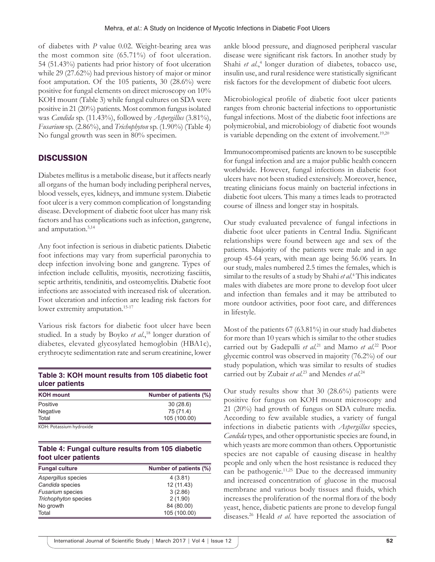of diabetes with *P* value 0.02. Weight-bearing area was the most common site (65.71%) of foot ulceration. 54 (51.43%) patients had prior history of foot ulceration while 29 (27.62%) had previous history of major or minor foot amputation. Of the 105 patients, 30 (28.6%) were positive for fungal elements on direct microscopy on 10% KOH mount (Table 3) while fungal cultures on SDA were positive in 21 (20%) patients. Most common fungus isolated was *Candida* sp. (11.43%), followed by *Aspergillus* (3.81%), *Fusarium* sp. (2.86%), and *Trichophyton* sp. (1.90%) (Table 4) No fungal growth was seen in 80% specimen.

## **DISCUSSION**

Diabetes mellitus is a metabolic disease, but it affects nearly all organs of the human body including peripheral nerves, blood vessels, eyes, kidneys, and immune system. Diabetic foot ulcer is a very common complication of longstanding disease. Development of diabetic foot ulcer has many risk factors and has complications such as infection, gangrene, and amputation.5,14

Any foot infection is serious in diabetic patients. Diabetic foot infections may vary from superficial paronychia to deep infection involving bone and gangrene. Types of infection include cellulitis, myositis, necrotizing fasciitis, septic arthritis, tendinitis, and osteomyelitis. Diabetic foot infections are associated with increased risk of ulceration. Foot ulceration and infection are leading risk factors for lower extremity amputation.<sup>15-17</sup>

Various risk factors for diabetic foot ulcer have been studied. In a study by Boyko *et al.*<sup>18</sup> longer duration of diabetes, elevated glycosylated hemoglobin (HBA1c), erythrocyte sedimentation rate and serum creatinine, lower

## **Table 3: KOH mount results from 105 diabetic foot ulcer patients**

| <b>KOH</b> mount         | Number of patients (%) |  |  |
|--------------------------|------------------------|--|--|
| Positive                 | 30(28.6)               |  |  |
| Negative                 | 75 (71.4)              |  |  |
| Total                    | 105 (100.00)           |  |  |
| KOH: Potassium hydroxide |                        |  |  |

KOH: Potassium hydroxide

## **Table 4: Fungal culture results from 105 diabetic foot ulcer patients**

| <b>Fungal culture</b>   | Number of patients (%) |  |  |
|-------------------------|------------------------|--|--|
| Aspergillus species     | 4(3.81)                |  |  |
| Candida species         | 12 (11.43)             |  |  |
| <b>Fusarium</b> species | 3(2.86)                |  |  |
| Trichophyton species    | 2(1.90)                |  |  |
| No growth               | 84 (80.00)             |  |  |
| Total                   | 105 (100.00)           |  |  |

ankle blood pressure, and diagnosed peripheral vascular disease were significant risk factors. In another study by Shahi et al.,<sup>4</sup> longer duration of diabetes, tobacco use, insulin use, and rural residence were statistically significant risk factors for the development of diabetic foot ulcers.

Microbiological profile of diabetic foot ulcer patients ranges from chronic bacterial infections to opportunistic fungal infections. Most of the diabetic foot infections are polymicrobial, and microbiology of diabetic foot wounds is variable depending on the extent of involvement.<sup>19,20</sup>

Immunocompromised patients are known to be susceptible for fungal infection and are a major public health concern worldwide. However, fungal infections in diabetic foot ulcers have not been studied extensively. Moreover, hence, treating clinicians focus mainly on bacterial infections in diabetic foot ulcers. This many a times leads to protracted course of illness and longer stay in hospitals.

Our study evaluated prevalence of fungal infections in diabetic foot ulcer patients in Central India. Significant relationships were found between age and sex of the patients. Majority of the patients were male and in age group 45-64 years, with mean age being 56.06 years. In our study, males numbered 2.5 times the females, which is similar to the results of a study by Shahi *et al*. 4 This indicates males with diabetes are more prone to develop foot ulcer and infection than females and it may be attributed to more outdoor activities, poor foot care, and differences in lifestyle.

Most of the patients 67 (63.81%) in our study had diabetes for more than 10 years which is similar to the other studies carried out by Gadepalli *et al*. 21 and Mamo *et al*. 22 Poor glycemic control was observed in majority (76.2%) of our study population, which was similar to results of studies carried out by Zubair *et al*. 23 and Mendes *et al*. 24

Our study results show that 30 (28.6%) patients were positive for fungus on KOH mount microscopy and 21 (20%) had growth of fungus on SDA culture media. According to few available studies, a variety of fungal infections in diabetic patients with *Aspergillus* species, *Candida* types, and other opportunistic species are found, in which yeasts are more common than others. Opportunistic species are not capable of causing disease in healthy people and only when the host resistance is reduced they can be pathogenic.<sup>11,25</sup> Due to the decreased immunity and increased concentration of glucose in the mucosal membrane and various body tissues and fluids, which increases the proliferation of the normal flora of the body yeast, hence, diabetic patients are prone to develop fungal diseases.26 Heald *et al*. have reported the association of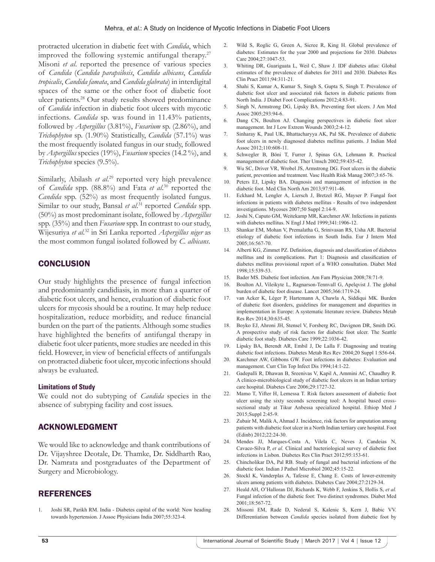protracted ulceration in diabetic feet with *Candida*, which improved the following systemic antifungal therapy.<sup>27</sup> Misoni *et al*. reported the presence of various species of *Candida* (*Candida parapsilosis*, *Candida albicans*, *Candida tropicalis*, *Candida famata*, and *Candida glabrata*) in interdigital spaces of the same or the other foot of diabetic foot ulcer patients.28 Our study results showed predominance of *Candida* infection in diabetic foot ulcers with mycotic infections. *Candida* sp. was found in 11.43% patients, followed by *Aspergillus* (3.81%), *Fusarium* sp. (2.86%), and *Trichophyton* sp. (1.90%) Statistically, *Candida* (57.1%) was the most frequently isolated fungus in our study, followed by *Aspergillus* species (19%), *Fusarium* species (14.2 %), and *Trichophyton* species (9.5%).

Similarly, Abilash et al.<sup>29</sup> reported very high prevalence of *Candida* spp. (88.8%) and Fata *et al*. 30 reported the *Candida* spp. (52%) as most frequently isolated fungus. Similar to our study, Bansal *et al*. 31 reported *Candida* spp. (50%) as most predominant isolate, followed by *Aspergillus* spp. (35%) and then *Fusarium* spp. In contrast to our study, Wijesuriya *et al*. 32 in Sri Lanka reported *Aspergillus niger* as the most common fungal isolated followed by *C. albicans*.

## **CONCLUSION**

Our study highlights the presence of fungal infection and predominantly candidiasis, in more than a quarter of diabetic foot ulcers, and hence, evaluation of diabetic foot ulcers for mycosis should be a routine. It may help reduce hospitalization, reduce morbidity, and reduce financial burden on the part of the patients. Although some studies have highlighted the benefits of antifungal therapy in diabetic foot ulcer patients, more studies are needed in this field. However, in view of beneficial effects of antifungals on protracted diabetic foot ulcer, mycotic infections should always be evaluated.

#### **Limitations of Study**

We could not do subtyping of *Candida* species in the absence of subtyping facility and cost issues.

## ACKNOWLEDGMENT

We would like to acknowledge and thank contributions of Dr. Vijayshree Deotale, Dr. Thamke, Dr. Siddharth Rao, Dr. Namrata and postgraduates of the Department of Surgery and Microbiology.

## REFERENCES

1. Joshi SR, Parikh RM. India - Diabetes capital of the world: Now heading towards hypertension. J Assoc Physicians India 2007;55:323-4.

- 2. Wild S, Roglic G, Green A, Sicree R, King H. Global prevalence of diabetes: Estimates for the year 2000 and projections for 2030. Diabetes Care 2004;27:1047-53.
- 3. Whiting DR, Guariguata L, Weil C, Shaw J. IDF diabetes atlas: Global estimates of the prevalence of diabetes for 2011 and 2030. Diabetes Res Clin Pract 2011;94:311-21.
- 4. Shahi S, Kumar A, Kumar S, Singh S, Gupta S, Singh T. Prevalence of diabetic foot ulcer and associated risk factors in diabetic patients from North India. J Diabet Foot Complications 2012;4:83-91.
- 5. Singh N, Armstrong DG, Lipsky BA. Preventing foot ulcers. J Am Med Assoc 2005;293:94-6.
- 6. Dang CN, Boulton AJ. Changing perspectives in diabetic foot ulcer management. Int J Low Extrem Wounds 2003;2:4-12.
- 7. Sinharay K, Paul UK, Bhattacharyya AK, Pal SK. Prevalence of diabetic foot ulcers in newly diagnosed diabetes mellitus patients. J Indian Med Assoc 2012;110:608-11.
- 8. Schwegler B, Böni T, Furrer J, Spinas GA, Lehmann R. Practical management of diabetic foot. Ther Umsch 2002;59:435-42.
- 9. Wu SC, Driver VR, Wrobel JS, Armstrong DG. Foot ulcers in the diabetic patient, prevention and treatment. Vasc Health Risk Manag 2007;3:65-76.
- 10. Peters EJ, Lipsky BA. Diagnosis and management of infection in the diabetic foot. Med Clin North Am 2013;97:911-46.
- 11. Eckhard M, Lengler A, Liersch J, Bretzel RG, Mayser P. Fungal foot infections in patients with diabetes mellitus - Results of two independent investigations. Mycoses 2007;50 Suppl 2:14-9.
- 12. Joshi N, Caputo GM, Weitekamp MR, Karchmer AW. Infections in patients with diabetes mellitus. N Engl J Med 1999;341:1906-12.
- 13. Shankar EM, Mohan V, Premalatha G, Srinivasan RS, Usha AR. Bacterial etiology of diabetic foot infections in South India. Eur J Intern Med 2005;16:567-70.
- 14. Alberti KG, Zimmet PZ. Definition, diagnosis and classification of diabetes mellitus and its complications. Part 1: Diagnosis and classification of diabetes mellitus provisional report of a WHO consultation. Diabet Med 1998;15:539-53.
- 15. Bader MS. Diabetic foot infection. Am Fam Physician 2008;78:71-9.
- 16. Boulton AJ, Vileikyte L, Ragnarson-Tennvall G, Apelqvist J. The global burden of diabetic foot disease. Lancet 2005;366:1719-24.
- 17. van Acker K, Léger P, Hartemann A, Chawla A, Siddiqui MK. Burden of diabetic foot disorders, guidelines for management and disparities in implementation in Europe: A systematic literature review. Diabetes Metab Res Rev 2014;30:635-45.
- 18. Boyko EJ, Ahroni JH, Stensel V, Forsberg RC, Davignon DR, Smith DG. A prospective study of risk factors for diabetic foot ulcer. The Seattle diabetic foot study. Diabetes Care 1999;22:1036-42.
- 19. Lipsky BA, Berendt AR, Embil J, De Lalla F. Diagnosing and treating diabetic foot infections. Diabetes Metab Res Rev 2004;20 Suppl 1:S56-64.
- 20. Karchmer AW, Gibbons GW. Foot infections in diabetes: Evaluation and management. Curr Clin Top Infect Dis 1994;14:1-22.
- 21. Gadepalli R, Dhawan B, Sreenivas V, Kapil A, Ammini AC, Chaudhry R. A clinico-microbiological study of diabetic foot ulcers in an Indian tertiary care hospital. Diabetes Care 2006;29:1727-32.
- 22. Mamo T, Yifter H, Lemessa T. Risk factors assessment of diabetic foot ulcer using the sixty seconds screening tool: A hospital based crosssectional study at Tikur Anbessa specialized hospital. Ethiop Med J 2015;Suppl 2:45-9.
- 23. Zubair M, Malik A, Ahmad J. Incidence, risk factors for amputation among patients with diabetic foot ulcer in a North Indian tertiary care hospital. Foot (Edinb) 2012;22:24-30.
- 24. Mendes JJ, Marques-Costa A, Vilela C, Neves J, Candeias N, Cavaco-Silva P, *et al.* Clinical and bacteriological survey of diabetic foot infections in Lisbon. Diabetes Res Clin Pract 2012;95:153-61.
- 25. Chincholikar DA, Pal RB. Study of fungal and bacterial infections of the diabetic foot. Indian J Pathol Microbiol 2002;45:15-22.
- 26. Stockl K, Vanderplas A, Tafesse E, Chang E. Costs of lower-extremity ulcers among patients with diabetes. Diabetes Care 2004;27:2129-34.
- 27. Heald AH, O'Halloran DJ, Richards K, Webb F, Jenkins S, Hollis S, *et al.* Fungal infection of the diabetic foot: Two distinct syndromes. Diabet Med 2001;18:567-72.
- 28. Missoni EM, Rade D, Nederal S, Kalenic S, Kern J, Babic VV. Differentiation between *Candida* species isolated from diabetic foot by